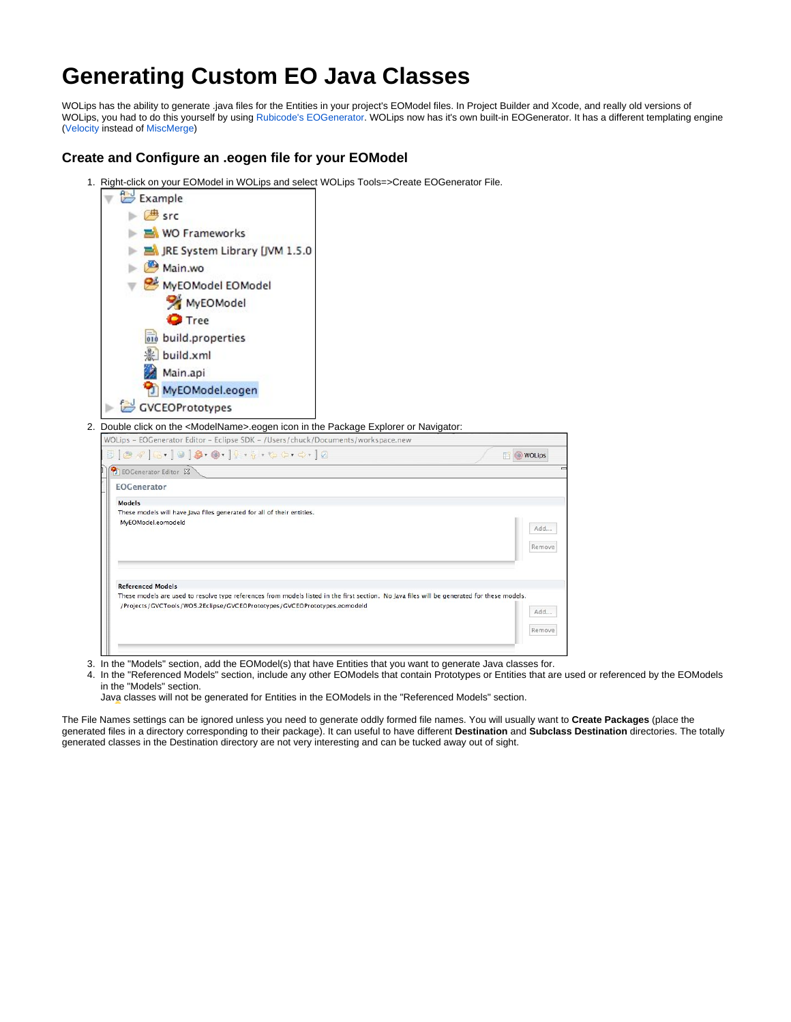# **Generating Custom EO Java Classes**

WOLips has the ability to generate .java files for the Entities in your project's EOModel files. In Project Builder and Xcode, and really old versions of WOLips, you had to do this yourself by using [Rubicode's EOGenerator](http://www.rubicode.com/Software/EOGenerator/). WOLips now has it's own built-in EOGenerator. It has a different templating engine ([Velocity](http://velocity.apache.org/) instead of [MiscMerge](https://github.com/rentzsch/mogenerator/tree/master/MiscMerge))

## **Create and Configure an .eogen file for your EOModel**

1. Right-click on your EOModel in WOLips and select WOLips Tools=>Create EOGenerator File.

| Example                                                                                                                                                                                                                 |               |
|-------------------------------------------------------------------------------------------------------------------------------------------------------------------------------------------------------------------------|---------------|
| <b>典</b> src                                                                                                                                                                                                            |               |
| <b>NO Frameworks</b>                                                                                                                                                                                                    |               |
| JRE System Library [JVM 1.5.0                                                                                                                                                                                           |               |
| Main.wo                                                                                                                                                                                                                 |               |
| MyEOModel EOModel                                                                                                                                                                                                       |               |
| MyEOModel                                                                                                                                                                                                               |               |
| <b>O</b> Tree                                                                                                                                                                                                           |               |
| <b>ord</b> build.properties                                                                                                                                                                                             |               |
| 影 build.xml                                                                                                                                                                                                             |               |
| Main.api                                                                                                                                                                                                                |               |
| MyEOModel.eogen                                                                                                                                                                                                         |               |
|                                                                                                                                                                                                                         |               |
| GVCEOPrototypes<br>2. Double click on the <modelname>.eogen icon in the Package Explorer or Navigator:</modelname>                                                                                                      |               |
|                                                                                                                                                                                                                         | <b>WOLips</b> |
| WOLips - EOGenerator Editor - Eclipse SDK - /Users/chuck/Documents/workspace.new<br><b>D</b> EOGenerator Editor &<br><b>EOGenerator</b>                                                                                 |               |
| <b>Models</b>                                                                                                                                                                                                           |               |
| These models will have Java files generated for all of their entities.                                                                                                                                                  |               |
| MyEOModel.eomodeld                                                                                                                                                                                                      | Add           |
|                                                                                                                                                                                                                         | Remove        |
|                                                                                                                                                                                                                         |               |
| <b>Referenced Models</b>                                                                                                                                                                                                |               |
| These models are used to resolve type references from models listed in the first section. No Java files will be generated for these models.<br>/Projects/GVCTools/WO5.2Eclipse/GVCEOPrototypes/GVCEOPrototypes.eomodeld |               |
|                                                                                                                                                                                                                         | Add           |
|                                                                                                                                                                                                                         | Remove        |

3. In the "Models" section, add the EOModel(s) that have Entities that you want to generate Java classes for.

4. In the "Referenced Models" section, include any other EOModels that contain Prototypes or Entities that are used or referenced by the EOModels in the "Models" section.

Java classes will not be generated for Entities in the EOModels in the "Referenced Models" section.

The File Names settings can be ignored unless you need to generate oddly formed file names. You will usually want to **Create Packages** (place the generated files in a directory corresponding to their package). It can useful to have different **Destination** and **Subclass Destination** directories. The totally generated classes in the Destination directory are not very interesting and can be tucked away out of sight.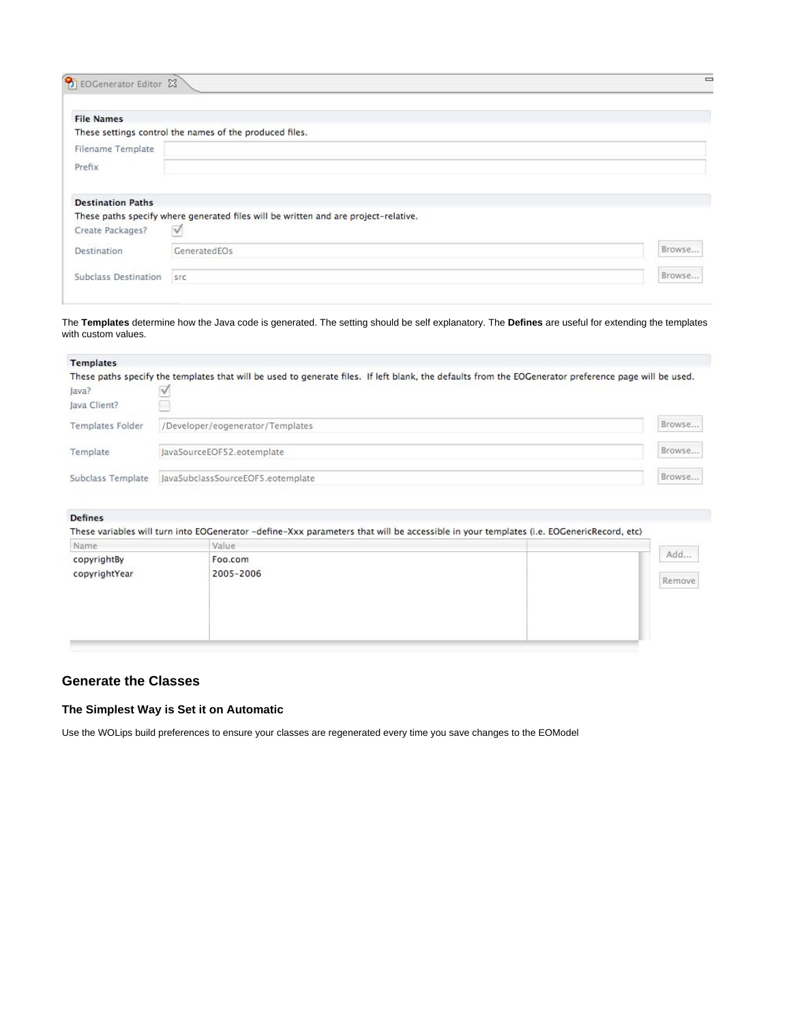| <b>File Names</b>               |                                                                                     |        |
|---------------------------------|-------------------------------------------------------------------------------------|--------|
|                                 | These settings control the names of the produced files.                             |        |
| Filename Template               |                                                                                     |        |
| Prefix                          |                                                                                     |        |
|                                 |                                                                                     |        |
|                                 |                                                                                     |        |
| <b>Destination Paths</b>        |                                                                                     |        |
|                                 | These paths specify where generated files will be written and are project-relative. |        |
|                                 | $\sqrt{}$                                                                           |        |
| Create Packages?<br>Destination | GeneratedEOs                                                                        | Browse |

The **Templates** determine how the Java code is generated. The setting should be self explanatory. The **Defines** are useful for extending the templates with custom values.

| <b>Templates</b>        |                                                                                                                                                       |        |
|-------------------------|-------------------------------------------------------------------------------------------------------------------------------------------------------|--------|
|                         | These paths specify the templates that will be used to generate files. If left blank, the defaults from the EOGenerator preference page will be used. |        |
| Java?                   |                                                                                                                                                       |        |
| Java Client?            |                                                                                                                                                       |        |
| <b>Templates Folder</b> | /Developer/eogenerator/Templates                                                                                                                      | Browse |
| Template                | JavaSourceEOF52.eotemplate                                                                                                                            | Browse |
| Subclass Template       | JavaSubclassSourceEOF5.eotemplate                                                                                                                     | Browse |

#### **Defines**

| Name          | Value     |        |
|---------------|-----------|--------|
| copyrightBy   | Foo.com   | Add    |
| copyrightYear | 2005-2006 | Remove |
|               |           |        |
|               |           |        |
|               |           |        |
|               |           |        |

## **Generate the Classes**

## **The Simplest Way is Set it on Automatic**

Use the WOLips build preferences to ensure your classes are regenerated every time you save changes to the EOModel